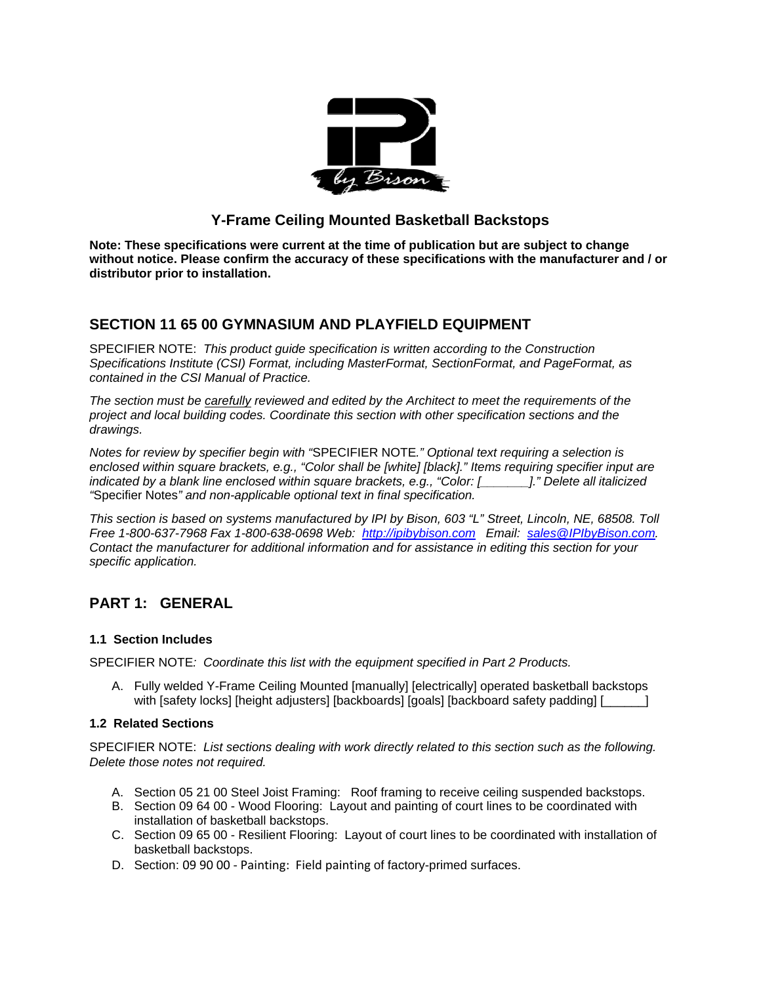

## **Y-Frame Ceiling Mounted Basketball Backstops**

**Note: These specifications were current at the time of publication but are subject to change without notice. Please confirm the accuracy of these specifications with the manufacturer and / or distributor prior to installation.**

## **SECTION 11 65 00 GYMNASIUM AND PLAYFIELD EQUIPMENT**

SPECIFIER NOTE: *This product guide specification is written according to the Construction Specifications Institute (CSI) Format, including MasterFormat, SectionFormat, and PageFormat, as contained in the CSI Manual of Practice.* 

*The section must be carefully reviewed and edited by the Architect to meet the requirements of the project and local building codes. Coordinate this section with other specification sections and the drawings.* 

*Notes for review by specifier begin with "*SPECIFIER NOTE*." Optional text requiring a selection is enclosed within square brackets, e.g., "Color shall be [white] [black]." Items requiring specifier input are indicated by a blank line enclosed within square brackets, e.g., "Color: [\_\_\_\_\_\_\_]." Delete all italicized "*Specifier Notes*" and non-applicable optional text in final specification.* 

*This section is based on systems manufactured by IPI by Bison, 603 "L" Street, Lincoln, NE, 68508. Toll Free 1-800-637-7968 Fax 1-800-638-0698 Web: http://ipibybison.com Email: sales@IPIbyBison.com. Contact the manufacturer for additional information and for assistance in editing this section for your specific application.* 

# **PART 1: GENERAL**

## **1.1 Section Includes**

SPECIFIER NOTE*: Coordinate this list with the equipment specified in Part 2 Products.* 

A. Fully welded Y-Frame Ceiling Mounted [manually] [electrically] operated basketball backstops with [safety locks] [height adjusters] [backboards] [goals] [backboard safety padding] [\_\_\_\_\_\_\_]

## **1.2 Related Sections**

SPECIFIER NOTE: *List sections dealing with work directly related to this section such as the following. Delete those notes not required.* 

- A. Section 05 21 00 Steel Joist Framing: Roof framing to receive ceiling suspended backstops.
- B. Section 09 64 00 Wood Flooring: Layout and painting of court lines to be coordinated with installation of basketball backstops.
- C. Section 09 65 00 Resilient Flooring: Layout of court lines to be coordinated with installation of basketball backstops.
- D. Section: 09 90 00 ‐ Painting: Field painting of factory-primed surfaces.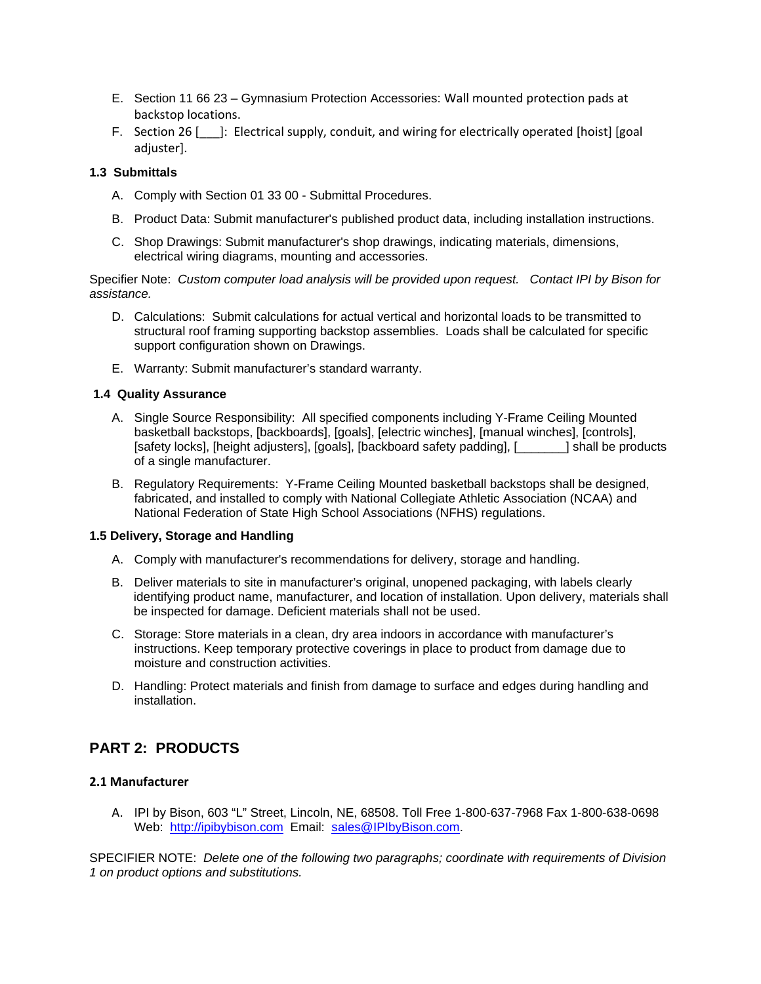- E. Section 11 66 23 Gymnasium Protection Accessories: Wall mounted protection pads at backstop locations.
- F. Section 26 [\_\_\_]: Electrical supply, conduit, and wiring for electrically operated [hoist] [goal adjuster].

## **1.3 Submittals**

- A. Comply with Section 01 33 00 Submittal Procedures.
- B. Product Data: Submit manufacturer's published product data, including installation instructions.
- C. Shop Drawings: Submit manufacturer's shop drawings, indicating materials, dimensions, electrical wiring diagrams, mounting and accessories.

Specifier Note: *Custom computer load analysis will be provided upon request. Contact IPI by Bison for assistance.* 

- D. Calculations: Submit calculations for actual vertical and horizontal loads to be transmitted to structural roof framing supporting backstop assemblies. Loads shall be calculated for specific support configuration shown on Drawings.
- E. Warranty: Submit manufacturer's standard warranty.

#### **1.4 Quality Assurance**

- A. Single Source Responsibility: All specified components including Y-Frame Ceiling Mounted basketball backstops, [backboards], [goals], [electric winches], [manual winches], [controls], [safety locks], [height adjusters], [goals], [backboard safety padding], [\_\_\_\_\_\_\_] shall be products of a single manufacturer.
- B. Regulatory Requirements: Y-Frame Ceiling Mounted basketball backstops shall be designed, fabricated, and installed to comply with National Collegiate Athletic Association (NCAA) and National Federation of State High School Associations (NFHS) regulations.

#### **1.5 Delivery, Storage and Handling**

- A. Comply with manufacturer's recommendations for delivery, storage and handling.
- B. Deliver materials to site in manufacturer's original, unopened packaging, with labels clearly identifying product name, manufacturer, and location of installation. Upon delivery, materials shall be inspected for damage. Deficient materials shall not be used.
- C. Storage: Store materials in a clean, dry area indoors in accordance with manufacturer's instructions. Keep temporary protective coverings in place to product from damage due to moisture and construction activities.
- D. Handling: Protect materials and finish from damage to surface and edges during handling and installation.

## **PART 2: PRODUCTS**

### **2.1 Manufacturer**

A. IPI by Bison, 603 "L" Street, Lincoln, NE, 68508. Toll Free 1-800-637-7968 Fax 1-800-638-0698 Web: http://ipibybison.com Email: sales@IPIbyBison.com.

SPECIFIER NOTE: *Delete one of the following two paragraphs; coordinate with requirements of Division 1 on product options and substitutions.*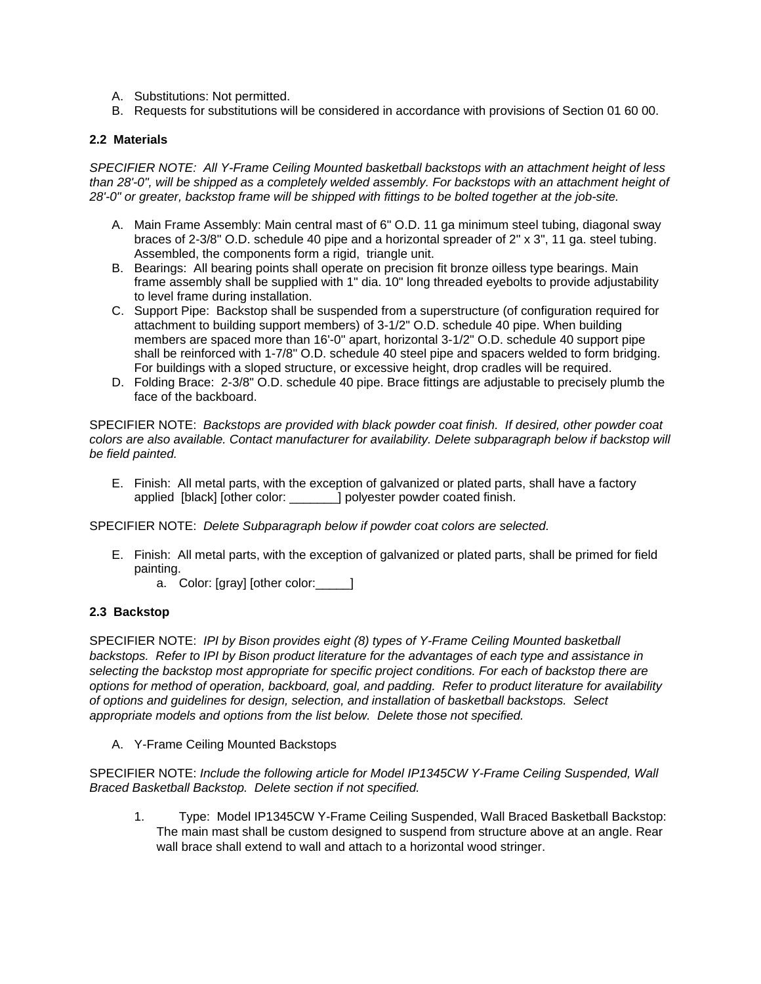- A. Substitutions: Not permitted.
- B. Requests for substitutions will be considered in accordance with provisions of Section 01 60 00.

## **2.2 Materials**

*SPECIFIER NOTE: All Y-Frame Ceiling Mounted basketball backstops with an attachment height of less than 28'-0", will be shipped as a completely welded assembly. For backstops with an attachment height of 28'-0" or greater, backstop frame will be shipped with fittings to be bolted together at the job-site.* 

- A. Main Frame Assembly: Main central mast of 6" O.D. 11 ga minimum steel tubing, diagonal sway braces of 2-3/8" O.D. schedule 40 pipe and a horizontal spreader of 2" x 3", 11 ga. steel tubing. Assembled, the components form a rigid, triangle unit.
- B. Bearings: All bearing points shall operate on precision fit bronze oilless type bearings. Main frame assembly shall be supplied with 1" dia. 10" long threaded eyebolts to provide adjustability to level frame during installation.
- C. Support Pipe: Backstop shall be suspended from a superstructure (of configuration required for attachment to building support members) of 3-1/2" O.D. schedule 40 pipe. When building members are spaced more than 16'-0" apart, horizontal 3-1/2" O.D. schedule 40 support pipe shall be reinforced with 1-7/8" O.D. schedule 40 steel pipe and spacers welded to form bridging. For buildings with a sloped structure, or excessive height, drop cradles will be required.
- D. Folding Brace: 2-3/8" O.D. schedule 40 pipe. Brace fittings are adjustable to precisely plumb the face of the backboard.

SPECIFIER NOTE: *Backstops are provided with black powder coat finish. If desired, other powder coat colors are also available. Contact manufacturer for availability. Delete subparagraph below if backstop will be field painted.*

E. Finish: All metal parts, with the exception of galvanized or plated parts, shall have a factory applied [black] [other color: \_\_\_\_\_\_\_] polyester powder coated finish.

SPECIFIER NOTE: *Delete Subparagraph below if powder coat colors are selected.*

- E. Finish: All metal parts, with the exception of galvanized or plated parts, shall be primed for field painting.
	- a. Color: [gray] [other color:\_\_\_\_\_]

### **2.3 Backstop**

SPECIFIER NOTE: *IPI by Bison provides eight (8) types of Y-Frame Ceiling Mounted basketball backstops. Refer to IPI by Bison product literature for the advantages of each type and assistance in selecting the backstop most appropriate for specific project conditions. For each of backstop there are options for method of operation, backboard, goal, and padding. Refer to product literature for availability of options and guidelines for design, selection, and installation of basketball backstops. Select appropriate models and options from the list below. Delete those not specified.* 

A. Y-Frame Ceiling Mounted Backstops

SPECIFIER NOTE: *Include the following article for Model IP1345CW Y-Frame Ceiling Suspended, Wall Braced Basketball Backstop. Delete section if not specified.* 

1. Type: Model IP1345CW Y-Frame Ceiling Suspended, Wall Braced Basketball Backstop: The main mast shall be custom designed to suspend from structure above at an angle. Rear wall brace shall extend to wall and attach to a horizontal wood stringer.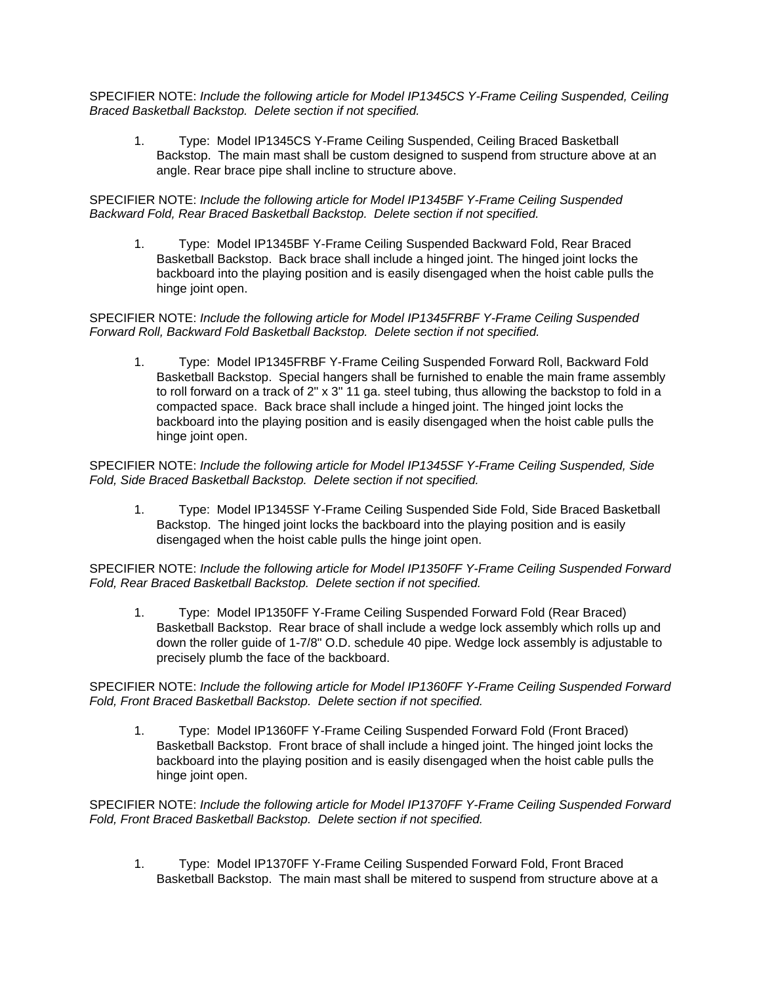SPECIFIER NOTE: *Include the following article for Model IP1345CS Y-Frame Ceiling Suspended, Ceiling Braced Basketball Backstop. Delete section if not specified.* 

1. Type: Model IP1345CS Y-Frame Ceiling Suspended, Ceiling Braced Basketball Backstop. The main mast shall be custom designed to suspend from structure above at an angle. Rear brace pipe shall incline to structure above.

SPECIFIER NOTE: *Include the following article for Model IP1345BF Y-Frame Ceiling Suspended Backward Fold, Rear Braced Basketball Backstop. Delete section if not specified.* 

1. Type: Model IP1345BF Y-Frame Ceiling Suspended Backward Fold, Rear Braced Basketball Backstop. Back brace shall include a hinged joint. The hinged joint locks the backboard into the playing position and is easily disengaged when the hoist cable pulls the hinge joint open.

## SPECIFIER NOTE: *Include the following article for Model IP1345FRBF Y-Frame Ceiling Suspended Forward Roll, Backward Fold Basketball Backstop. Delete section if not specified.*

1. Type: Model IP1345FRBF Y-Frame Ceiling Suspended Forward Roll, Backward Fold Basketball Backstop. Special hangers shall be furnished to enable the main frame assembly to roll forward on a track of 2" x 3" 11 ga. steel tubing, thus allowing the backstop to fold in a compacted space. Back brace shall include a hinged joint. The hinged joint locks the backboard into the playing position and is easily disengaged when the hoist cable pulls the hinge joint open.

SPECIFIER NOTE: *Include the following article for Model IP1345SF Y-Frame Ceiling Suspended, Side Fold, Side Braced Basketball Backstop. Delete section if not specified.* 

1. Type: Model IP1345SF Y-Frame Ceiling Suspended Side Fold, Side Braced Basketball Backstop. The hinged joint locks the backboard into the playing position and is easily disengaged when the hoist cable pulls the hinge joint open.

SPECIFIER NOTE: *Include the following article for Model IP1350FF Y-Frame Ceiling Suspended Forward Fold, Rear Braced Basketball Backstop. Delete section if not specified.* 

1. Type: Model IP1350FF Y-Frame Ceiling Suspended Forward Fold (Rear Braced) Basketball Backstop. Rear brace of shall include a wedge lock assembly which rolls up and down the roller guide of 1-7/8" O.D. schedule 40 pipe. Wedge lock assembly is adjustable to precisely plumb the face of the backboard.

## SPECIFIER NOTE: *Include the following article for Model IP1360FF Y-Frame Ceiling Suspended Forward Fold, Front Braced Basketball Backstop. Delete section if not specified.*

1. Type: Model IP1360FF Y-Frame Ceiling Suspended Forward Fold (Front Braced) Basketball Backstop. Front brace of shall include a hinged joint. The hinged joint locks the backboard into the playing position and is easily disengaged when the hoist cable pulls the hinge joint open.

SPECIFIER NOTE: *Include the following article for Model IP1370FF Y-Frame Ceiling Suspended Forward Fold, Front Braced Basketball Backstop. Delete section if not specified.* 

1. Type: Model IP1370FF Y-Frame Ceiling Suspended Forward Fold, Front Braced Basketball Backstop. The main mast shall be mitered to suspend from structure above at a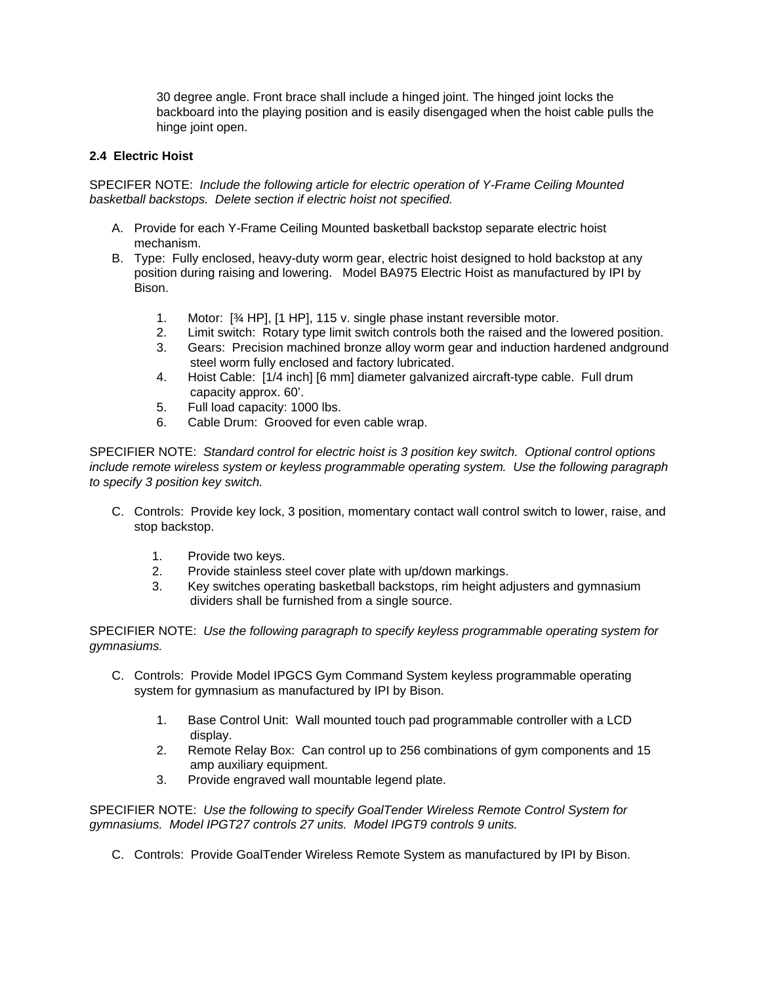30 degree angle. Front brace shall include a hinged joint. The hinged joint locks the backboard into the playing position and is easily disengaged when the hoist cable pulls the hinge joint open.

### **2.4 Electric Hoist**

SPECIFER NOTE: *Include the following article for electric operation of Y-Frame Ceiling Mounted basketball backstops. Delete section if electric hoist not specified.*

- A. Provide for each Y-Frame Ceiling Mounted basketball backstop separate electric hoist mechanism.
- B. Type: Fully enclosed, heavy-duty worm gear, electric hoist designed to hold backstop at any position during raising and lowering. Model BA975 Electric Hoist as manufactured by IPI by Bison.
	- 1. Motor: [¾ HP], [1 HP], 115 v. single phase instant reversible motor.
	- 2. Limit switch: Rotary type limit switch controls both the raised and the lowered position.
	- 3. Gears: Precision machined bronze alloy worm gear and induction hardened andground steel worm fully enclosed and factory lubricated.
	- 4. Hoist Cable: [1/4 inch] [6 mm] diameter galvanized aircraft-type cable. Full drum capacity approx. 60'.
	- 5. Full load capacity: 1000 lbs.
	- 6. Cable Drum: Grooved for even cable wrap.

SPECIFIER NOTE: *Standard control for electric hoist is 3 position key switch. Optional control options include remote wireless system or keyless programmable operating system. Use the following paragraph to specify 3 position key switch.*

- C. Controls: Provide key lock, 3 position, momentary contact wall control switch to lower, raise, and stop backstop.
	- 1. Provide two keys.
	- 2. Provide stainless steel cover plate with up/down markings.
	- 3. Key switches operating basketball backstops, rim height adjusters and gymnasium dividers shall be furnished from a single source.

SPECIFIER NOTE: *Use the following paragraph to specify keyless programmable operating system for gymnasiums.*

- C. Controls: Provide Model IPGCS Gym Command System keyless programmable operating system for gymnasium as manufactured by IPI by Bison.
	- 1. Base Control Unit: Wall mounted touch pad programmable controller with a LCD display.
	- 2. Remote Relay Box: Can control up to 256 combinations of gym components and 15 amp auxiliary equipment.
	- 3. Provide engraved wall mountable legend plate.

SPECIFIER NOTE: *Use the following to specify GoalTender Wireless Remote Control System for gymnasiums. Model IPGT27 controls 27 units. Model IPGT9 controls 9 units.* 

C. Controls: Provide GoalTender Wireless Remote System as manufactured by IPI by Bison.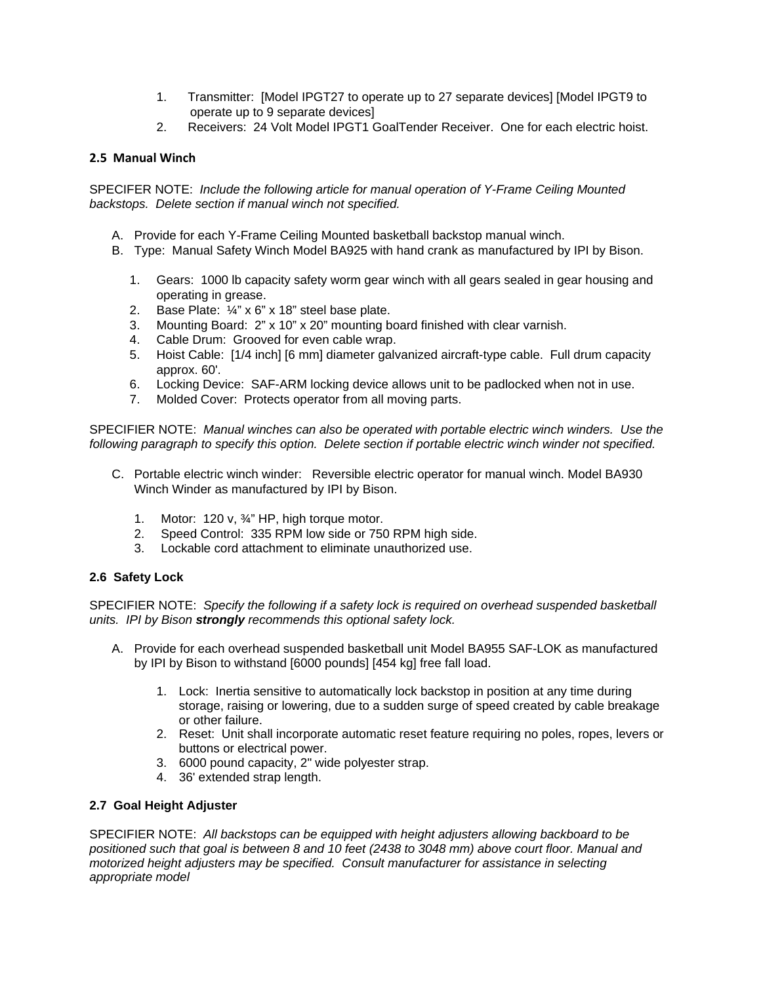- 1. Transmitter: [Model IPGT27 to operate up to 27 separate devices] [Model IPGT9 to operate up to 9 separate devices]
- 2. Receivers: 24 Volt Model IPGT1 GoalTender Receiver. One for each electric hoist.

## **2.5 Manual Winch**

SPECIFER NOTE: *Include the following article for manual operation of Y-Frame Ceiling Mounted backstops. Delete section if manual winch not specified.*

- A. Provide for each Y-Frame Ceiling Mounted basketball backstop manual winch.
- B. Type: Manual Safety Winch Model BA925 with hand crank as manufactured by IPI by Bison.
	- 1. Gears: 1000 lb capacity safety worm gear winch with all gears sealed in gear housing and operating in grease.
	- 2. Base Plate: ¼" x 6" x 18" steel base plate.
	- 3. Mounting Board: 2" x 10" x 20" mounting board finished with clear varnish.
	- 4. Cable Drum: Grooved for even cable wrap.
	- 5. Hoist Cable: [1/4 inch] [6 mm] diameter galvanized aircraft-type cable. Full drum capacity approx. 60'.
	- 6. Locking Device: SAF-ARM locking device allows unit to be padlocked when not in use.
	- 7. Molded Cover: Protects operator from all moving parts.

SPECIFIER NOTE: *Manual winches can also be operated with portable electric winch winders. Use the following paragraph to specify this option. Delete section if portable electric winch winder not specified.* 

- C. Portable electric winch winder: Reversible electric operator for manual winch. Model BA930 Winch Winder as manufactured by IPI by Bison.
	- 1. Motor: 120 v, 3/4" HP, high torque motor.
	- 2. Speed Control: 335 RPM low side or 750 RPM high side.
	- 3. Lockable cord attachment to eliminate unauthorized use.

## **2.6 Safety Lock**

SPECIFIER NOTE: *Specify the following if a safety lock is required on overhead suspended basketball units. IPI by Bison strongly recommends this optional safety lock.* 

- A. Provide for each overhead suspended basketball unit Model BA955 SAF-LOK as manufactured by IPI by Bison to withstand [6000 pounds] [454 kg] free fall load.
	- 1. Lock: Inertia sensitive to automatically lock backstop in position at any time during storage, raising or lowering, due to a sudden surge of speed created by cable breakage or other failure.
	- 2. Reset: Unit shall incorporate automatic reset feature requiring no poles, ropes, levers or buttons or electrical power.
	- 3. 6000 pound capacity, 2" wide polyester strap.
	- 4. 36' extended strap length.

## **2.7 Goal Height Adjuster**

SPECIFIER NOTE: *All backstops can be equipped with height adjusters allowing backboard to be positioned such that goal is between 8 and 10 feet (2438 to 3048 mm) above court floor. Manual and motorized height adjusters may be specified. Consult manufacturer for assistance in selecting appropriate model*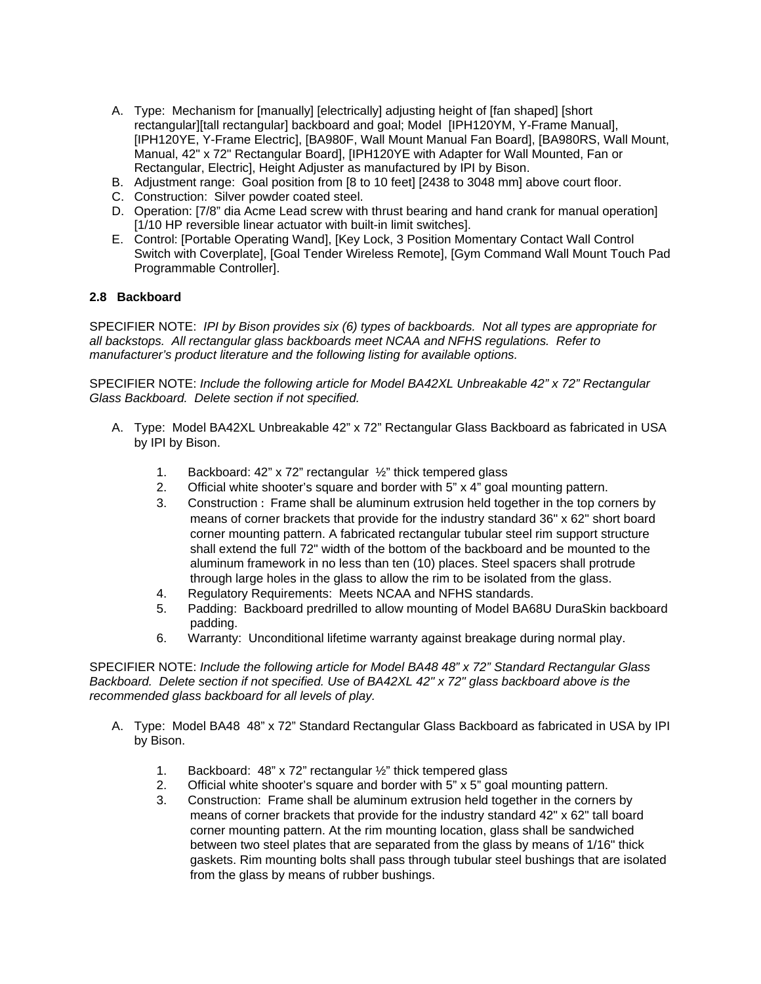- A. Type: Mechanism for [manually] [electrically] adjusting height of [fan shaped] [short rectangular][tall rectangular] backboard and goal; Model [IPH120YM, Y-Frame Manual], [IPH120YE, Y-Frame Electric], [BA980F, Wall Mount Manual Fan Board], [BA980RS, Wall Mount, Manual, 42" x 72" Rectangular Board], [IPH120YE with Adapter for Wall Mounted, Fan or Rectangular, Electric], Height Adjuster as manufactured by IPI by Bison.
- B. Adjustment range: Goal position from [8 to 10 feet] [2438 to 3048 mm] above court floor.
- C. Construction: Silver powder coated steel.
- D. Operation: [7/8" dia Acme Lead screw with thrust bearing and hand crank for manual operation] [1/10 HP reversible linear actuator with built-in limit switches].
- E. Control: [Portable Operating Wand], [Key Lock, 3 Position Momentary Contact Wall Control Switch with Coverplate], [Goal Tender Wireless Remote], [Gym Command Wall Mount Touch Pad Programmable Controller].

## **2.8 Backboard**

SPECIFIER NOTE: *IPI by Bison provides six (6) types of backboards. Not all types are appropriate for all backstops. All rectangular glass backboards meet NCAA and NFHS regulations. Refer to manufacturer's product literature and the following listing for available options.* 

SPECIFIER NOTE: *Include the following article for Model BA42XL Unbreakable 42" x 72" Rectangular Glass Backboard. Delete section if not specified.* 

- A. Type: Model BA42XL Unbreakable 42" x 72" Rectangular Glass Backboard as fabricated in USA by IPI by Bison.
	- 1. Backboard: 42" x 72" rectangular ½" thick tempered glass
	- 2. Official white shooter's square and border with  $5" \times 4"$  goal mounting pattern.
	- 3. Construction : Frame shall be aluminum extrusion held together in the top corners by means of corner brackets that provide for the industry standard 36" x 62" short board corner mounting pattern. A fabricated rectangular tubular steel rim support structure shall extend the full 72" width of the bottom of the backboard and be mounted to the aluminum framework in no less than ten (10) places. Steel spacers shall protrude through large holes in the glass to allow the rim to be isolated from the glass.
	- 4. Regulatory Requirements: Meets NCAA and NFHS standards.
	- 5. Padding: Backboard predrilled to allow mounting of Model BA68U DuraSkin backboard padding.
	- 6. Warranty: Unconditional lifetime warranty against breakage during normal play.

SPECIFIER NOTE: *Include the following article for Model BA48 48" x 72" Standard Rectangular Glass Backboard. Delete section if not specified. Use of BA42XL 42" x 72" glass backboard above is the recommended glass backboard for all levels of play.* 

- A. Type: Model BA48 48" x 72" Standard Rectangular Glass Backboard as fabricated in USA by IPI by Bison.
	- 1. Backboard: 48" x 72" rectangular  $\frac{1}{2}$ " thick tempered glass
	- 2. Official white shooter's square and border with 5" x 5" goal mounting pattern.
	- 3. Construction: Frame shall be aluminum extrusion held together in the corners by means of corner brackets that provide for the industry standard 42" x 62" tall board corner mounting pattern. At the rim mounting location, glass shall be sandwiched between two steel plates that are separated from the glass by means of 1/16" thick gaskets. Rim mounting bolts shall pass through tubular steel bushings that are isolated from the glass by means of rubber bushings.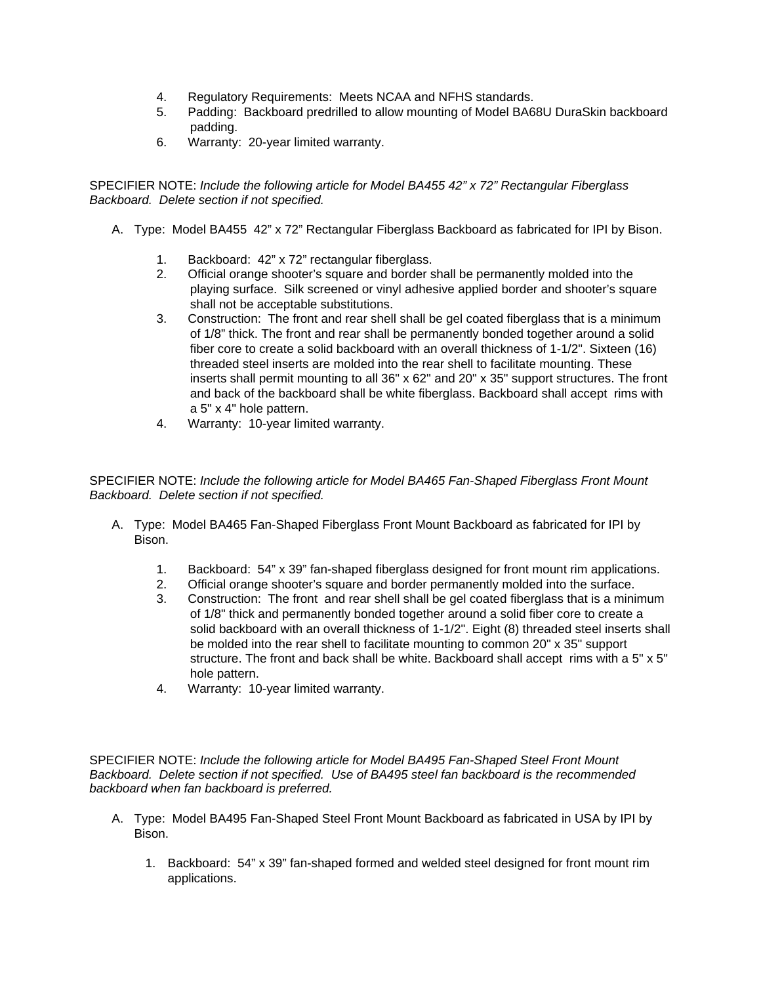- 4. Regulatory Requirements: Meets NCAA and NFHS standards.
- 5. Padding: Backboard predrilled to allow mounting of Model BA68U DuraSkin backboard padding.
- 6. Warranty: 20-year limited warranty.

SPECIFIER NOTE: *Include the following article for Model BA455 42" x 72" Rectangular Fiberglass Backboard. Delete section if not specified.* 

- A. Type: Model BA455 42" x 72" Rectangular Fiberglass Backboard as fabricated for IPI by Bison.
	- 1. Backboard: 42" x 72" rectangular fiberglass.
	- 2. Official orange shooter's square and border shall be permanently molded into the playing surface. Silk screened or vinyl adhesive applied border and shooter's square shall not be acceptable substitutions.
	- 3. Construction: The front and rear shell shall be gel coated fiberglass that is a minimum of 1/8" thick. The front and rear shall be permanently bonded together around a solid fiber core to create a solid backboard with an overall thickness of 1-1/2". Sixteen (16) threaded steel inserts are molded into the rear shell to facilitate mounting. These inserts shall permit mounting to all 36" x 62" and 20" x 35" support structures. The front and back of the backboard shall be white fiberglass. Backboard shall accept rims with a 5" x 4" hole pattern.
	- 4. Warranty: 10-year limited warranty.

SPECIFIER NOTE: *Include the following article for Model BA465 Fan-Shaped Fiberglass Front Mount Backboard. Delete section if not specified.* 

- A. Type: Model BA465 Fan-Shaped Fiberglass Front Mount Backboard as fabricated for IPI by Bison.
	- 1. Backboard: 54" x 39" fan-shaped fiberglass designed for front mount rim applications.
	- 2. Official orange shooter's square and border permanently molded into the surface.
	- 3. Construction: The front and rear shell shall be gel coated fiberglass that is a minimum of 1/8" thick and permanently bonded together around a solid fiber core to create a solid backboard with an overall thickness of 1-1/2". Eight (8) threaded steel inserts shall be molded into the rear shell to facilitate mounting to common 20" x 35" support structure. The front and back shall be white. Backboard shall accept rims with a  $5" \times 5"$ hole pattern.
	- 4. Warranty: 10-year limited warranty.

SPECIFIER NOTE: *Include the following article for Model BA495 Fan-Shaped Steel Front Mount Backboard. Delete section if not specified. Use of BA495 steel fan backboard is the recommended backboard when fan backboard is preferred.* 

- A. Type: Model BA495 Fan-Shaped Steel Front Mount Backboard as fabricated in USA by IPI by Bison.
	- 1. Backboard: 54" x 39" fan-shaped formed and welded steel designed for front mount rim applications.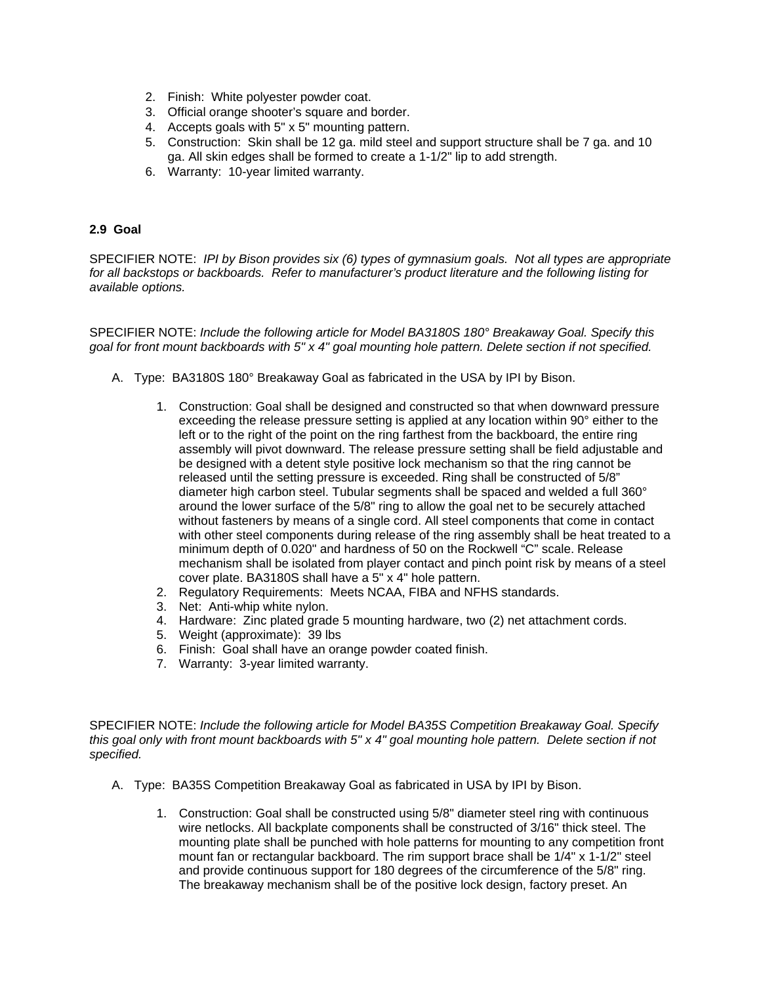- 2. Finish: White polyester powder coat.
- 3. Official orange shooter's square and border.
- 4. Accepts goals with 5" x 5" mounting pattern.
- 5. Construction: Skin shall be 12 ga. mild steel and support structure shall be 7 ga. and 10 ga. All skin edges shall be formed to create a 1-1/2" lip to add strength.
- 6. Warranty: 10-year limited warranty.

### **2.9 Goal**

SPECIFIER NOTE: *IPI by Bison provides six (6) types of gymnasium goals. Not all types are appropriate for all backstops or backboards. Refer to manufacturer's product literature and the following listing for available options.* 

SPECIFIER NOTE: *Include the following article for Model BA3180S 180° Breakaway Goal. Specify this goal for front mount backboards with 5" x 4" goal mounting hole pattern. Delete section if not specified.* 

- A. Type: BA3180S 180° Breakaway Goal as fabricated in the USA by IPI by Bison.
	- 1. Construction: Goal shall be designed and constructed so that when downward pressure exceeding the release pressure setting is applied at any location within 90° either to the left or to the right of the point on the ring farthest from the backboard, the entire ring assembly will pivot downward. The release pressure setting shall be field adjustable and be designed with a detent style positive lock mechanism so that the ring cannot be released until the setting pressure is exceeded. Ring shall be constructed of 5/8" diameter high carbon steel. Tubular segments shall be spaced and welded a full 360° around the lower surface of the 5/8" ring to allow the goal net to be securely attached without fasteners by means of a single cord. All steel components that come in contact with other steel components during release of the ring assembly shall be heat treated to a minimum depth of 0.020" and hardness of 50 on the Rockwell "C" scale. Release mechanism shall be isolated from player contact and pinch point risk by means of a steel cover plate. BA3180S shall have a 5" x 4" hole pattern.
	- 2. Regulatory Requirements: Meets NCAA, FIBA and NFHS standards.
	- 3. Net: Anti-whip white nylon.
	- 4. Hardware: Zinc plated grade 5 mounting hardware, two (2) net attachment cords.
	- 5. Weight (approximate): 39 lbs
	- 6. Finish: Goal shall have an orange powder coated finish.
	- 7. Warranty: 3-year limited warranty.

SPECIFIER NOTE: *Include the following article for Model BA35S Competition Breakaway Goal. Specify this goal only with front mount backboards with 5" x 4" goal mounting hole pattern. Delete section if not specified.* 

- A. Type: BA35S Competition Breakaway Goal as fabricated in USA by IPI by Bison.
	- 1. Construction: Goal shall be constructed using 5/8" diameter steel ring with continuous wire netlocks. All backplate components shall be constructed of 3/16" thick steel. The mounting plate shall be punched with hole patterns for mounting to any competition front mount fan or rectangular backboard. The rim support brace shall be 1/4" x 1-1/2" steel and provide continuous support for 180 degrees of the circumference of the 5/8" ring. The breakaway mechanism shall be of the positive lock design, factory preset. An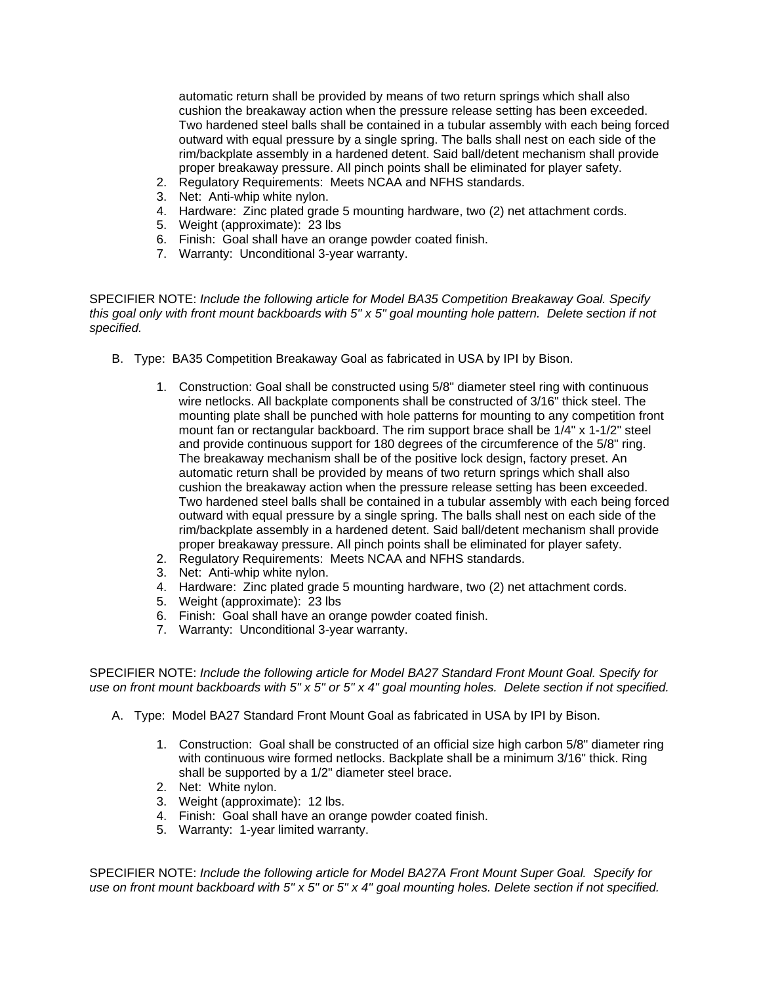automatic return shall be provided by means of two return springs which shall also cushion the breakaway action when the pressure release setting has been exceeded. Two hardened steel balls shall be contained in a tubular assembly with each being forced outward with equal pressure by a single spring. The balls shall nest on each side of the rim/backplate assembly in a hardened detent. Said ball/detent mechanism shall provide proper breakaway pressure. All pinch points shall be eliminated for player safety.

- 2. Regulatory Requirements: Meets NCAA and NFHS standards.
- 3. Net: Anti-whip white nylon.
- 4. Hardware: Zinc plated grade 5 mounting hardware, two (2) net attachment cords.
- 5. Weight (approximate): 23 lbs
- 6. Finish: Goal shall have an orange powder coated finish.
- 7. Warranty: Unconditional 3-year warranty.

SPECIFIER NOTE: *Include the following article for Model BA35 Competition Breakaway Goal. Specify this goal only with front mount backboards with 5" x 5" goal mounting hole pattern. Delete section if not specified.* 

- B. Type: BA35 Competition Breakaway Goal as fabricated in USA by IPI by Bison.
	- 1. Construction: Goal shall be constructed using 5/8" diameter steel ring with continuous wire netlocks. All backplate components shall be constructed of 3/16" thick steel. The mounting plate shall be punched with hole patterns for mounting to any competition front mount fan or rectangular backboard. The rim support brace shall be 1/4" x 1-1/2" steel and provide continuous support for 180 degrees of the circumference of the 5/8" ring. The breakaway mechanism shall be of the positive lock design, factory preset. An automatic return shall be provided by means of two return springs which shall also cushion the breakaway action when the pressure release setting has been exceeded. Two hardened steel balls shall be contained in a tubular assembly with each being forced outward with equal pressure by a single spring. The balls shall nest on each side of the rim/backplate assembly in a hardened detent. Said ball/detent mechanism shall provide proper breakaway pressure. All pinch points shall be eliminated for player safety.
	- 2. Regulatory Requirements: Meets NCAA and NFHS standards.
	- 3. Net: Anti-whip white nylon.
	- 4. Hardware: Zinc plated grade 5 mounting hardware, two (2) net attachment cords.
	- 5. Weight (approximate): 23 lbs
	- 6. Finish: Goal shall have an orange powder coated finish.
	- 7. Warranty: Unconditional 3-year warranty.

SPECIFIER NOTE: *Include the following article for Model BA27 Standard Front Mount Goal. Specify for use on front mount backboards with 5" x 5" or 5" x 4" goal mounting holes. Delete section if not specified.* 

- A. Type: Model BA27 Standard Front Mount Goal as fabricated in USA by IPI by Bison.
	- 1. Construction: Goal shall be constructed of an official size high carbon 5/8" diameter ring with continuous wire formed netlocks. Backplate shall be a minimum 3/16" thick. Ring shall be supported by a 1/2" diameter steel brace.
	- 2. Net: White nylon.
	- 3. Weight (approximate): 12 lbs.
	- 4. Finish: Goal shall have an orange powder coated finish.
	- 5. Warranty: 1-year limited warranty.

SPECIFIER NOTE: *Include the following article for Model BA27A Front Mount Super Goal. Specify for use on front mount backboard with 5" x 5" or 5" x 4" goal mounting holes. Delete section if not specified.*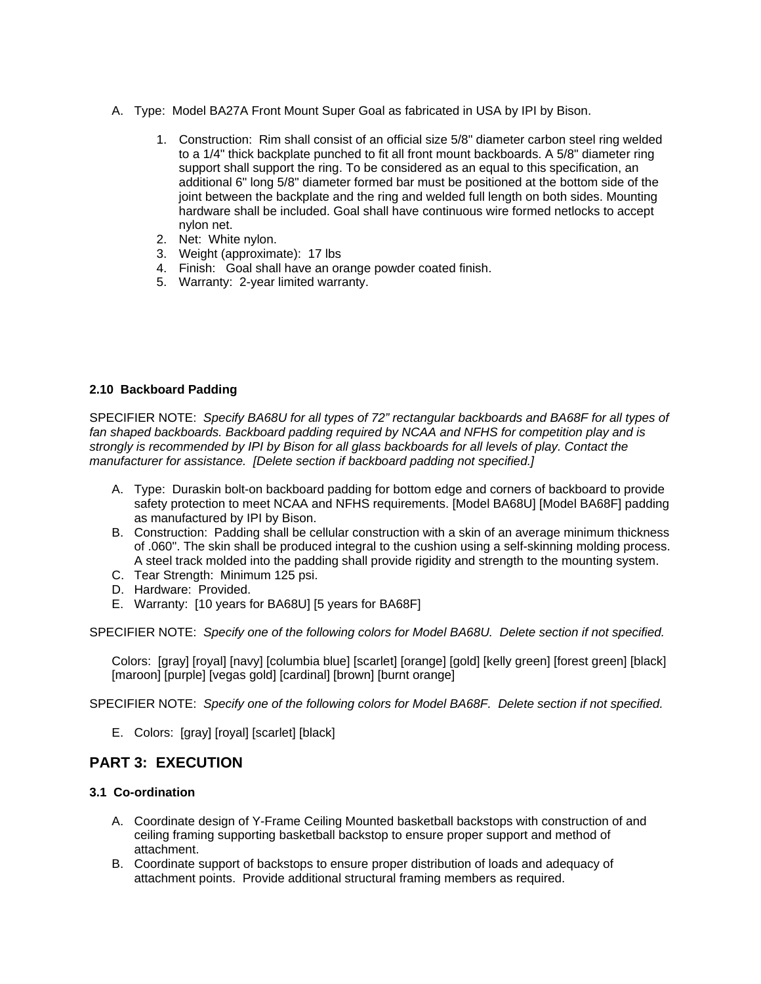- A. Type: Model BA27A Front Mount Super Goal as fabricated in USA by IPI by Bison.
	- 1. Construction: Rim shall consist of an official size 5/8" diameter carbon steel ring welded to a 1/4" thick backplate punched to fit all front mount backboards. A 5/8" diameter ring support shall support the ring. To be considered as an equal to this specification, an additional 6" long 5/8" diameter formed bar must be positioned at the bottom side of the joint between the backplate and the ring and welded full length on both sides. Mounting hardware shall be included. Goal shall have continuous wire formed netlocks to accept nylon net.
	- 2. Net: White nylon.
	- 3. Weight (approximate): 17 lbs
	- 4. Finish: Goal shall have an orange powder coated finish.
	- 5. Warranty: 2-year limited warranty.

## **2.10 Backboard Padding**

SPECIFIER NOTE: *Specify BA68U for all types of 72" rectangular backboards and BA68F for all types of fan shaped backboards. Backboard padding required by NCAA and NFHS for competition play and is strongly is recommended by IPI by Bison for all glass backboards for all levels of play. Contact the manufacturer for assistance. [Delete section if backboard padding not specified.]* 

- A. Type: Duraskin bolt-on backboard padding for bottom edge and corners of backboard to provide safety protection to meet NCAA and NFHS requirements. [Model BA68U] [Model BA68F] padding as manufactured by IPI by Bison.
- B. Construction: Padding shall be cellular construction with a skin of an average minimum thickness of .060". The skin shall be produced integral to the cushion using a self-skinning molding process. A steel track molded into the padding shall provide rigidity and strength to the mounting system.
- C. Tear Strength: Minimum 125 psi.
- D. Hardware: Provided.
- E. Warranty: [10 years for BA68U] [5 years for BA68F]

SPECIFIER NOTE: *Specify one of the following colors for Model BA68U. Delete section if not specified.* 

Colors: [gray] [royal] [navy] [columbia blue] [scarlet] [orange] [gold] [kelly green] [forest green] [black] [maroon] [purple] [vegas gold] [cardinal] [brown] [burnt orange]

SPECIFIER NOTE: *Specify one of the following colors for Model BA68F. Delete section if not specified.* 

E. Colors: [gray] [royal] [scarlet] [black]

## **PART 3: EXECUTION**

## **3.1 Co-ordination**

- A. Coordinate design of Y-Frame Ceiling Mounted basketball backstops with construction of and ceiling framing supporting basketball backstop to ensure proper support and method of attachment.
- B. Coordinate support of backstops to ensure proper distribution of loads and adequacy of attachment points. Provide additional structural framing members as required.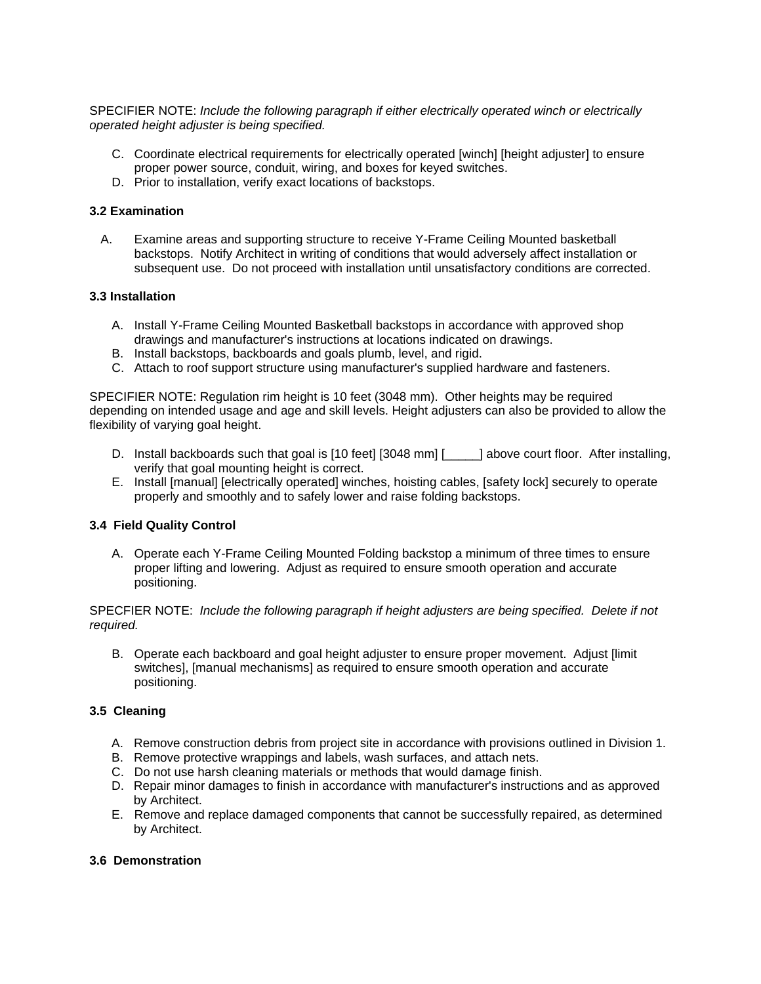SPECIFIER NOTE: *Include the following paragraph if either electrically operated winch or electrically operated height adjuster is being specified.* 

- C. Coordinate electrical requirements for electrically operated [winch] [height adjuster] to ensure proper power source, conduit, wiring, and boxes for keyed switches.
- D. Prior to installation, verify exact locations of backstops.

### **3.2 Examination**

A. Examine areas and supporting structure to receive Y-Frame Ceiling Mounted basketball backstops. Notify Architect in writing of conditions that would adversely affect installation or subsequent use. Do not proceed with installation until unsatisfactory conditions are corrected.

## **3.3 Installation**

- A. Install Y-Frame Ceiling Mounted Basketball backstops in accordance with approved shop drawings and manufacturer's instructions at locations indicated on drawings.
- B. Install backstops, backboards and goals plumb, level, and rigid.
- C. Attach to roof support structure using manufacturer's supplied hardware and fasteners.

SPECIFIER NOTE: Regulation rim height is 10 feet (3048 mm). Other heights may be required depending on intended usage and age and skill levels. Height adjusters can also be provided to allow the flexibility of varying goal height.

- D. Install backboards such that goal is [10 feet] [3048 mm] [\_\_\_\_\_] above court floor. After installing, verify that goal mounting height is correct.
- E. Install [manual] [electrically operated] winches, hoisting cables, [safety lock] securely to operate properly and smoothly and to safely lower and raise folding backstops.

#### **3.4 Field Quality Control**

A. Operate each Y-Frame Ceiling Mounted Folding backstop a minimum of three times to ensure proper lifting and lowering. Adjust as required to ensure smooth operation and accurate positioning.

## SPECFIER NOTE: *Include the following paragraph if height adjusters are being specified. Delete if not required.*

B. Operate each backboard and goal height adjuster to ensure proper movement. Adjust [limit switches], [manual mechanisms] as required to ensure smooth operation and accurate positioning.

## **3.5 Cleaning**

- A. Remove construction debris from project site in accordance with provisions outlined in Division 1.
- B. Remove protective wrappings and labels, wash surfaces, and attach nets.
- C. Do not use harsh cleaning materials or methods that would damage finish.
- D. Repair minor damages to finish in accordance with manufacturer's instructions and as approved by Architect.
- E. Remove and replace damaged components that cannot be successfully repaired, as determined by Architect.

### **3.6 Demonstration**